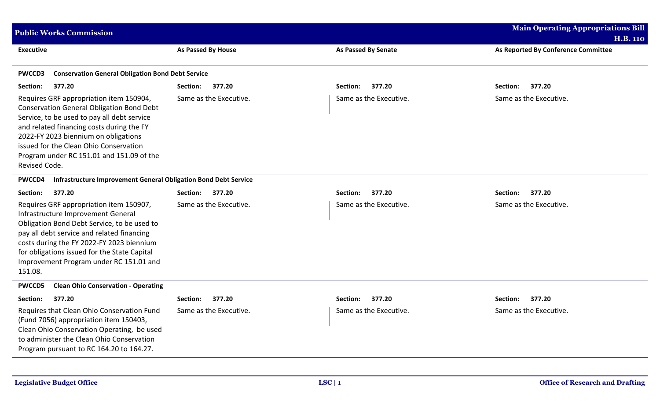| <b>Public Works Commission</b>                                                                                                                                                                                                                                                                                                          |                        |                        | <b>Main Operating Appropriations Bill</b><br><b>H.B. 110</b> |  |  |
|-----------------------------------------------------------------------------------------------------------------------------------------------------------------------------------------------------------------------------------------------------------------------------------------------------------------------------------------|------------------------|------------------------|--------------------------------------------------------------|--|--|
| <b>Executive</b>                                                                                                                                                                                                                                                                                                                        | As Passed By House     | As Passed By Senate    | As Reported By Conference Committee                          |  |  |
| <b>Conservation General Obligation Bond Debt Service</b><br><b>PWCCD3</b>                                                                                                                                                                                                                                                               |                        |                        |                                                              |  |  |
| 377.20<br>Section:                                                                                                                                                                                                                                                                                                                      | 377.20<br>Section:     | 377.20<br>Section:     | Section:<br>377.20                                           |  |  |
| Requires GRF appropriation item 150904,<br><b>Conservation General Obligation Bond Debt</b><br>Service, to be used to pay all debt service<br>and related financing costs during the FY<br>2022-FY 2023 biennium on obligations<br>issued for the Clean Ohio Conservation<br>Program under RC 151.01 and 151.09 of the<br>Revised Code. | Same as the Executive. | Same as the Executive. | Same as the Executive.                                       |  |  |
| Infrastructure Improvement General Obligation Bond Debt Service<br>PWCCD4                                                                                                                                                                                                                                                               |                        |                        |                                                              |  |  |
| 377.20<br>Section:                                                                                                                                                                                                                                                                                                                      | 377.20<br>Section:     | 377.20<br>Section:     | 377.20<br>Section:                                           |  |  |
| Requires GRF appropriation item 150907,<br>Infrastructure Improvement General<br>Obligation Bond Debt Service, to be used to<br>pay all debt service and related financing<br>costs during the FY 2022-FY 2023 biennium<br>for obligations issued for the State Capital<br>Improvement Program under RC 151.01 and<br>151.08.           | Same as the Executive. | Same as the Executive. | Same as the Executive.                                       |  |  |
| <b>Clean Ohio Conservation - Operating</b><br><b>PWCCD5</b>                                                                                                                                                                                                                                                                             |                        |                        |                                                              |  |  |
| 377.20<br>Section:                                                                                                                                                                                                                                                                                                                      | 377.20<br>Section:     | 377.20<br>Section:     | 377.20<br>Section:                                           |  |  |
| Requires that Clean Ohio Conservation Fund<br>(Fund 7056) appropriation item 150403,<br>Clean Ohio Conservation Operating, be used<br>to administer the Clean Ohio Conservation<br>Program pursuant to RC 164.20 to 164.27.                                                                                                             | Same as the Executive. | Same as the Executive. | Same as the Executive.                                       |  |  |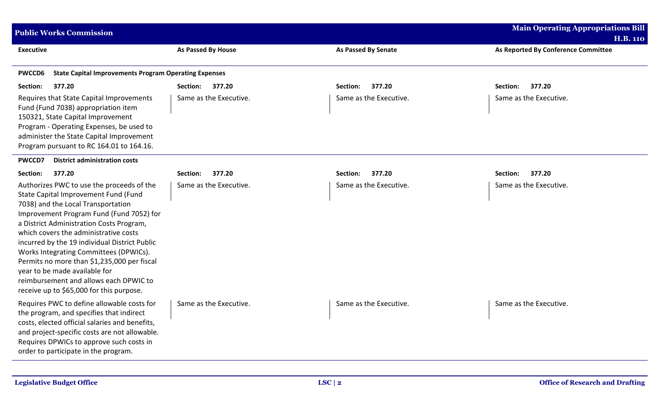| <b>Public Works Commission</b>                                                                                                                                                                                                                                                                                                                                                                                                                                                                                            | <b>Main Operating Appropriations Bill</b><br><b>H.B. 110</b> |                        |                                     |  |  |
|---------------------------------------------------------------------------------------------------------------------------------------------------------------------------------------------------------------------------------------------------------------------------------------------------------------------------------------------------------------------------------------------------------------------------------------------------------------------------------------------------------------------------|--------------------------------------------------------------|------------------------|-------------------------------------|--|--|
| <b>Executive</b>                                                                                                                                                                                                                                                                                                                                                                                                                                                                                                          | <b>As Passed By House</b>                                    | As Passed By Senate    | As Reported By Conference Committee |  |  |
| <b>State Capital Improvements Program Operating Expenses</b><br><b>PWCCD6</b>                                                                                                                                                                                                                                                                                                                                                                                                                                             |                                                              |                        |                                     |  |  |
| 377.20<br>Section:                                                                                                                                                                                                                                                                                                                                                                                                                                                                                                        | Section:<br>377.20                                           | 377.20<br>Section:     | 377.20<br>Section:                  |  |  |
| Requires that State Capital Improvements<br>Fund (Fund 7038) appropriation item<br>150321, State Capital Improvement<br>Program - Operating Expenses, be used to<br>administer the State Capital Improvement<br>Program pursuant to RC 164.01 to 164.16.                                                                                                                                                                                                                                                                  | Same as the Executive.                                       | Same as the Executive. | Same as the Executive.              |  |  |
| <b>PWCCD7</b><br><b>District administration costs</b>                                                                                                                                                                                                                                                                                                                                                                                                                                                                     |                                                              |                        |                                     |  |  |
| 377.20<br>Section:                                                                                                                                                                                                                                                                                                                                                                                                                                                                                                        | 377.20<br>Section:                                           | 377.20<br>Section:     | 377.20<br>Section:                  |  |  |
| Authorizes PWC to use the proceeds of the<br>State Capital Improvement Fund (Fund<br>7038) and the Local Transportation<br>Improvement Program Fund (Fund 7052) for<br>a District Administration Costs Program,<br>which covers the administrative costs<br>incurred by the 19 individual District Public<br>Works Integrating Committees (DPWICs).<br>Permits no more than \$1,235,000 per fiscal<br>year to be made available for<br>reimbursement and allows each DPWIC to<br>receive up to \$65,000 for this purpose. | Same as the Executive.                                       | Same as the Executive. | Same as the Executive.              |  |  |
| Requires PWC to define allowable costs for<br>the program, and specifies that indirect<br>costs, elected official salaries and benefits,<br>and project-specific costs are not allowable.<br>Requires DPWICs to approve such costs in<br>order to participate in the program.                                                                                                                                                                                                                                             | Same as the Executive.                                       | Same as the Executive. | Same as the Executive.              |  |  |